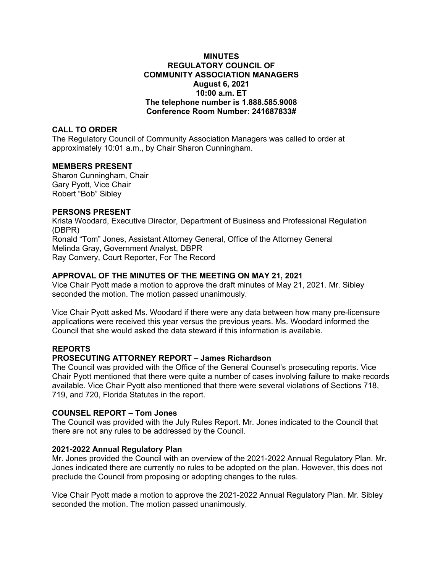#### **MINUTES REGULATORY COUNCIL OF COMMUNITY ASSOCIATION MANAGERS August 6, 2021 10:00 a.m. ET The telephone number is 1.888.585.9008 Conference Room Number: 241687833#**

## **CALL TO ORDER**

The Regulatory Council of Community Association Managers was called to order at approximately 10:01 a.m., by Chair Sharon Cunningham.

## **MEMBERS PRESENT**

Sharon Cunningham, Chair Gary Pyott, Vice Chair Robert "Bob" Sibley

## **PERSONS PRESENT**

Krista Woodard, Executive Director, Department of Business and Professional Regulation (DBPR) Ronald "Tom" Jones, Assistant Attorney General, Office of the Attorney General Melinda Gray, Government Analyst, DBPR Ray Convery, Court Reporter, For The Record

# **APPROVAL OF THE MINUTES OF THE MEETING ON MAY 21, 2021**

Vice Chair Pyott made a motion to approve the draft minutes of May 21, 2021. Mr. Sibley seconded the motion. The motion passed unanimously.

Vice Chair Pyott asked Ms. Woodard if there were any data between how many pre-licensure applications were received this year versus the previous years. Ms. Woodard informed the Council that she would asked the data steward if this information is available.

# **REPORTS**

# **PROSECUTING ATTORNEY REPORT – James Richardson**

The Council was provided with the Office of the General Counsel's prosecuting reports. Vice Chair Pyott mentioned that there were quite a number of cases involving failure to make records available. Vice Chair Pyott also mentioned that there were several violations of Sections 718, 719, and 720, Florida Statutes in the report.

#### **COUNSEL REPORT – Tom Jones**

The Council was provided with the July Rules Report. Mr. Jones indicated to the Council that there are not any rules to be addressed by the Council.

## **2021-2022 Annual Regulatory Plan**

Mr. Jones provided the Council with an overview of the 2021-2022 Annual Regulatory Plan. Mr. Jones indicated there are currently no rules to be adopted on the plan. However, this does not preclude the Council from proposing or adopting changes to the rules.

Vice Chair Pyott made a motion to approve the 2021-2022 Annual Regulatory Plan. Mr. Sibley seconded the motion. The motion passed unanimously.